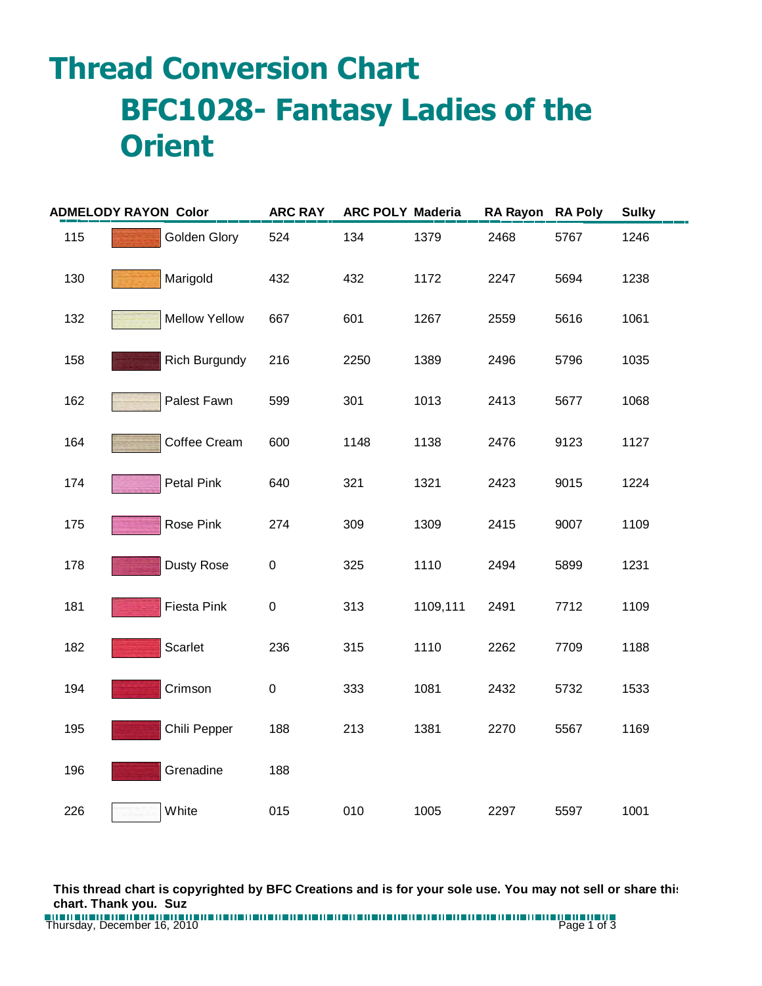## **Thread Conversion Chart BFC1028- Fantasy Ladies of the Orient**

| <b>ADMELODY RAYON Color</b> |                      | <b>ARC RAY</b> | <b>ARC POLY Maderia</b> |          | <b>RA Rayon</b> | <b>RA Poly</b> | <b>Sulky</b> |
|-----------------------------|----------------------|----------------|-------------------------|----------|-----------------|----------------|--------------|
| 115                         | Golden Glory         | 524            | 134                     | 1379     | 2468            | 5767           | 1246         |
| 130                         | Marigold             | 432            | 432                     | 1172     | 2247            | 5694           | 1238         |
| 132                         | <b>Mellow Yellow</b> | 667            | 601                     | 1267     | 2559            | 5616           | 1061         |
| 158                         | <b>Rich Burgundy</b> | 216            | 2250                    | 1389     | 2496            | 5796           | 1035         |
| 162                         | Palest Fawn          | 599            | 301                     | 1013     | 2413            | 5677           | 1068         |
| 164                         | Coffee Cream         | 600            | 1148                    | 1138     | 2476            | 9123           | 1127         |
| 174                         | Petal Pink           | 640            | 321                     | 1321     | 2423            | 9015           | 1224         |
| 175                         | Rose Pink            | 274            | 309                     | 1309     | 2415            | 9007           | 1109         |
| 178                         | Dusty Rose           | $\pmb{0}$      | 325                     | 1110     | 2494            | 5899           | 1231         |
| 181                         | <b>Fiesta Pink</b>   | $\pmb{0}$      | 313                     | 1109,111 | 2491            | 7712           | 1109         |
| 182                         | Scarlet              | 236            | 315                     | 1110     | 2262            | 7709           | 1188         |
| 194                         | Crimson              | $\pmb{0}$      | 333                     | 1081     | 2432            | 5732           | 1533         |
| 195                         | Chili Pepper         | 188            | 213                     | 1381     | 2270            | 5567           | 1169         |
| 196                         | Grenadine            | 188            |                         |          |                 |                |              |
| 226                         | White                | 015            | 010                     | 1005     | 2297            | 5597           | 1001         |

**This thread chart is copyrighted by BFC Creations and is for your sole use. You may not sell or share this chart. Thank you. Suz**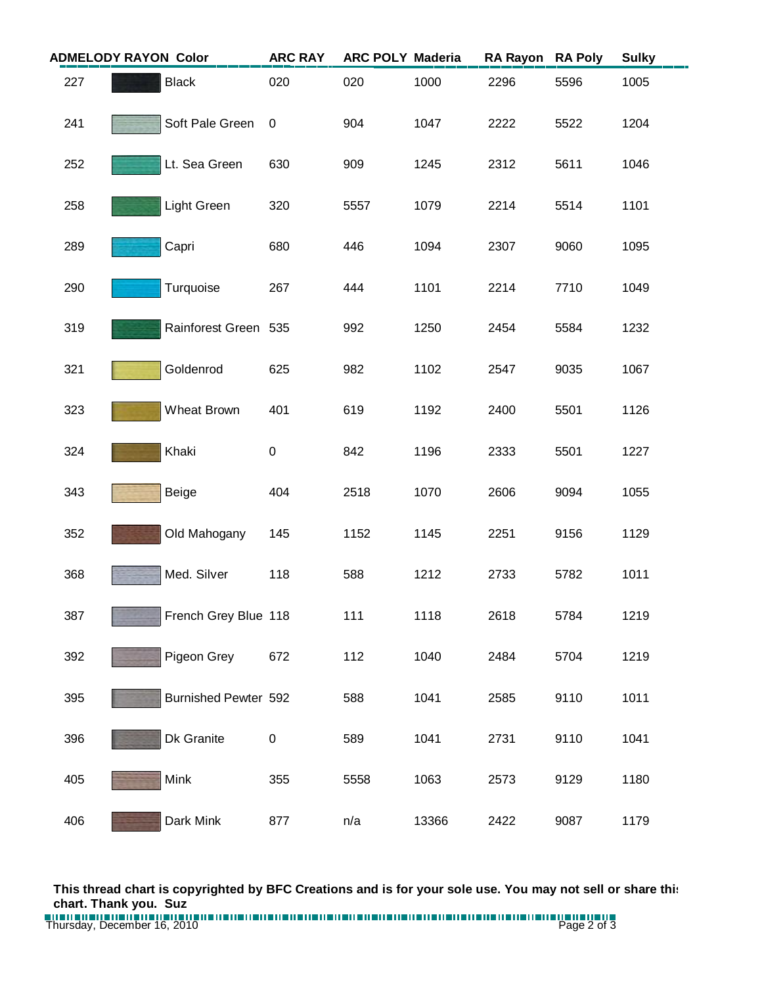| <b>ADMELODY RAYON Color</b> |  |                             | <b>ARC RAY</b> | <b>ARC POLY Maderia</b> |       | <b>RA Rayon</b> | <b>RA Poly</b> | <b>Sulky</b> |
|-----------------------------|--|-----------------------------|----------------|-------------------------|-------|-----------------|----------------|--------------|
| 227                         |  | <b>Black</b>                | 020            | 020                     | 1000  | 2296            | 5596           | 1005         |
| 241                         |  | Soft Pale Green             | $\mathbf 0$    | 904                     | 1047  | 2222            | 5522           | 1204         |
| 252                         |  | Lt. Sea Green               | 630            | 909                     | 1245  | 2312            | 5611           | 1046         |
| 258                         |  | Light Green                 | 320            | 5557                    | 1079  | 2214            | 5514           | 1101         |
| 289                         |  | Capri                       | 680            | 446                     | 1094  | 2307            | 9060           | 1095         |
| 290                         |  | Turquoise                   | 267            | 444                     | 1101  | 2214            | 7710           | 1049         |
| 319                         |  | Rainforest Green 535        |                | 992                     | 1250  | 2454            | 5584           | 1232         |
| 321                         |  | Goldenrod                   | 625            | 982                     | 1102  | 2547            | 9035           | 1067         |
| 323                         |  | Wheat Brown                 | 401            | 619                     | 1192  | 2400            | 5501           | 1126         |
| 324                         |  | Khaki                       | 0              | 842                     | 1196  | 2333            | 5501           | 1227         |
| 343                         |  | Beige                       | 404            | 2518                    | 1070  | 2606            | 9094           | 1055         |
| 352                         |  | Old Mahogany                | 145            | 1152                    | 1145  | 2251            | 9156           | 1129         |
| 368                         |  | Med. Silver                 | 118            | 588                     | 1212  | 2733            | 5782           | 1011         |
| 387                         |  | French Grey Blue 118        |                | 111                     | 1118  | 2618            | 5784           | 1219         |
| 392                         |  | Pigeon Grey                 | 672            | 112                     | 1040  | 2484            | 5704           | 1219         |
| 395                         |  | <b>Burnished Pewter 592</b> |                | 588                     | 1041  | 2585            | 9110           | 1011         |
| 396                         |  | Dk Granite                  | 0              | 589                     | 1041  | 2731            | 9110           | 1041         |
| 405                         |  | Mink                        | 355            | 5558                    | 1063  | 2573            | 9129           | 1180         |
| 406                         |  | Dark Mink                   | 877            | n/a                     | 13366 | 2422            | 9087           | 1179         |

**This thread chart is copyrighted by BFC Creations and is for your sole use. You may not sell or share this chart. Thank you. Suz**